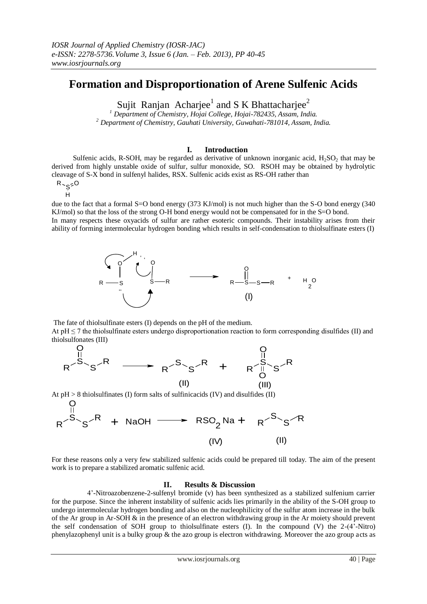# **Formation and Disproportionation of Arene Sulfenic Acids**

Sujit Ranjan Acharjee<sup>1</sup> and S K Bhattacharjee<sup>2</sup>

*<sup>1</sup> Department of Chemistry, Hojai College, Hojai-782435, Assam, India. <sup>2</sup> Department of Chemistry, Gauhati University, Guwahati-781014, Assam, India.*

# **I. Introduction**

Sulfenic acids, R-SOH, may be regarded as derivative of unknown inorganic acid, H<sub>2</sub>SO<sub>2</sub> that may be derived from highly unstable oxide of sulfur, sulfur monoxide, SO. RSOH may be obtained by hydrolytic cleavage of S-X bond in sulfenyl halides, RSX. Sulfenic acids exist as RS-OH rather than

R<sub>ົ່</sub>ເ⊘

Ĥ

due to the fact that a formal S=O bond energy (373 KJ/mol) is not much higher than the S-O bond energy (340 KJ/mol) so that the loss of the strong O-H bond energy would not be compensated for in the S=O bond. In many respects these oxyacids of sulfur are rather esoteric compounds. Their instability arises from their ability of forming intermolecular hydrogen bonding which results in self-condensation to thiolsulfinate esters (I)



The fate of thiolsulfinate esters (I) depends on the pH of the medium. At  $pH \le 7$  the thiolsulfinate esters undergo disproportionation reaction to form corresponding disulfides (II) and thiolsulfonates (III)



At  $pH > 8$  thiolsulfinates (I) form salts of sulfinicacids (IV) and disulfides (II)



For these reasons only a very few stabilized sulfenic acids could be prepared till today. The aim of the present work is to prepare a stabilized aromatic sulfenic acid.

# **II. Results & Discussion**

 4'-Nitroazobenzene-2-sulfenyl bromide (v) has been synthesized as a stabilized sulfenium carrier for the purpose. Since the inherent instability of sulfenic acids lies primarily in the ability of the S-OH group to undergo intermolecular hydrogen bonding and also on the nucleophilicity of the sulfur atom increase in the bulk of the Ar group in Ar-SOH & in the presence of an electron withdrawing group in the Ar moiety should prevent the self condensation of SOH group to thiolsulfinate esters (I). In the compound (V) the 2-(4'-Nitro) phenylazophenyl unit is a bulky group & the azo group is electron withdrawing. Moreover the azo group acts as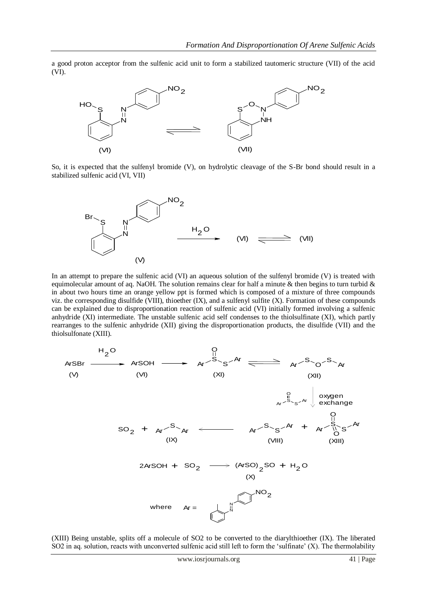a good proton acceptor from the sulfenic acid unit to form a stabilized tautomeric structure (VII) of the acid (VI).



So, it is expected that the sulfenyl bromide (V), on hydrolytic cleavage of the S-Br bond should result in a stabilized sulfenic acid (VI, VII)



In an attempt to prepare the sulfenic acid (VI) an aqueous solution of the sulfenyl bromide (V) is treated with equimolecular amount of aq. NaOH. The solution remains clear for half a minute & then begins to turn turbid  $\&$ in about two hours time an orange yellow ppt is formed which is composed of a mixture of three compounds viz. the corresponding disulfide (VIII), thioether (IX), and a sulfenyl sulfite (X). Formation of these compounds can be explained due to disproportionation reaction of sulfenic acid (VI) initially formed involving a sulfenic anhydride (XI) intermediate. The unstable sulfenic acid self condenses to the thiolsulfinate (XI), which partly rearranges to the sulfenic anhydride (XII) giving the disproportionation products, the disulfide (VII) and the thiolsulfonate (XIII).



(XIII) Being unstable, splits off a molecule of SO2 to be converted to the diarylthioether (IX). The liberated SO2 in aq. solution, reacts with unconverted sulfenic acid still left to form the 'sulfinate' (X). The thermolability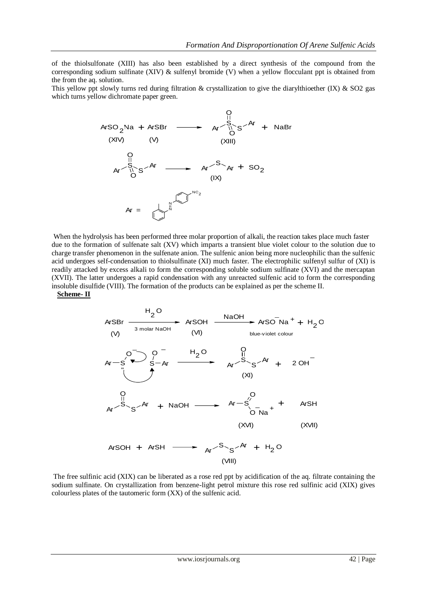of the thiolsulfonate (XIII) has also been established by a direct synthesis of the compound from the corresponding sodium sulfinate (XIV)  $\&$  sulfenyl bromide (V) when a yellow flocculant ppt is obtained from the from the aq. solution.

This yellow ppt slowly turns red during filtration & crystallization to give the diarylthioether (IX)  $\&$  SO2 gas which turns yellow dichromate paper green.



When the hydrolysis has been performed three molar proportion of alkali, the reaction takes place much faster due to the formation of sulfenate salt (XV) which imparts a transient blue violet colour to the solution due to charge transfer phenomenon in the sulfenate anion. The sulfenic anion being more nucleophilic than the sulfenic acid undergoes self-condensation to thiolsulfinate (XI) much faster. The electrophilic sulfenyl sulfur of (XI) is readily attacked by excess alkali to form the corresponding soluble sodium sulfinate (XVI) and the mercaptan (XVII). The latter undergoes a rapid condensation with any unreacted sulfenic acid to form the corresponding insoluble disulfide (VIII). The formation of the products can be explained as per the scheme II.

# **Scheme- II**



The free sulfinic acid (XIX) can be liberated as a rose red ppt by acidification of the aq. filtrate containing the sodium sulfinate. On crystallization from benzene-light petrol mixture this rose red sulfinic acid (XIX) gives colourless plates of the tautomeric form (XX) of the sulfenic acid.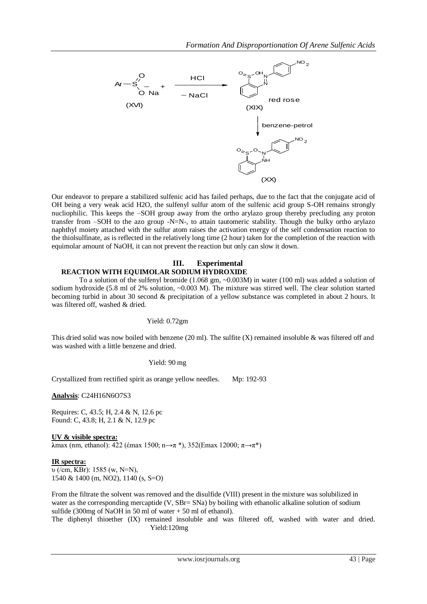

Our endeavor to prepare a stabilized sulfenic acid has failed perhaps, due to the fact that the conjugate acid of OH being a very weak acid H2O, the sulfenyl sulfur atom of the sulfenic acid group S-OH remains strongly nucliophilic. This keeps the –SOH group away from the ortho arylazo group thereby precluding any proton transfer from –SOH to the azo group -N=N-, to attain tautomeric stability. Though the bulky ortho arylazo naphthyl moiety attached with the sulfur atom raises the activation energy of the self condensation reaction to the thiolsulfinate, as is reflected in the relatively long time (2 hour) taken for the completion of the reaction with equimolar amount of NaOH, it can not prevent the reaction but only can slow it down.

# **III. Experimental REACTION WITH EQUIMOLAR SODIUM HYDROXIDE**

To a solution of the sulfenyl bromide (1.068 gm, ~0.003M) in water (100 ml) was added a solution of sodium hydroxide (5.8 ml of 2% solution, ~0.003 M). The mixture was stirred well. The clear solution started becoming turbid in about 30 second & precipitation of a yellow substance was completed in about 2 hours. It was filtered off, washed & dried.

## Yield: 0.72gm

This dried solid was now boiled with benzene (20 ml). The sulfite  $(X)$  remained insoluble & was filtered off and was washed with a little benzene and dried.

## Yield: 90 mg

Crystallized from rectified spirit as orange yellow needles. Mp: 192-93

## **Analysis**: C24H16N6O7S3

Requires: C, 43.5; H, 2.4 & N, 12.6 pc Found: C, 43.8; H, 2.1 & N, 12.9 pc

## **UV & visible spectra:**

**λ**max (nm, ethanol): 422 (έmax 1500; n→π \*), 352(Emax 12000; π→π\*)

## **IR spectra:**

υ (/cm, KBr): 1585 (w, N=N), 1540 & 1400 (m, NO2), 1140 (s, S=O)

From the filtrate the solvent was removed and the disulfide (VIII) present in the mixture was solubilized in water as the corresponding mercaptide (V, SBr = SNa) by boiling with ethanolic alkaline solution of sodium sulfide (300mg of NaOH in 50 ml of water + 50 ml of ethanol).

The diphenyl thioether (IX) remained insoluble and was filtered off, washed with water and dried. Yield:120mg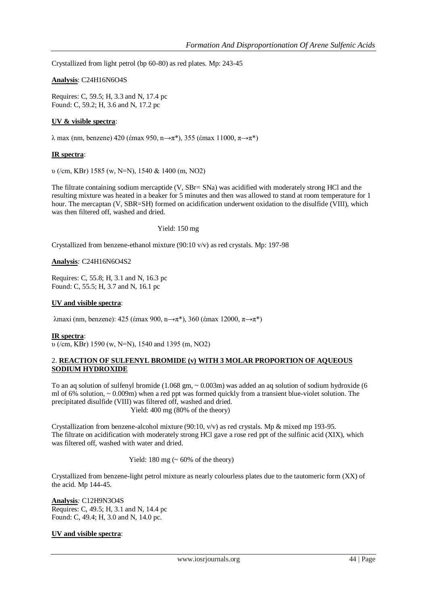Crystallized from light petrol (bp 60-80) as red plates. Mp: 243-45

**Analysis**: C24H16N6O4S

Requires: C, 59.5; H, 3.3 and N, 17.4 pc Found: C, 59.2; H, 3.6 and N, 17.2 pc

## **UV & visible spectra**:

λ max (nm, benzene) 420 (έmax 950, n→π\*), 355 (έmax 11000, π→π\*)

## **IR spectra**:

υ (/cm, KBr) 1585 (w, N=N), 1540 & 1400 (m, NO2)

The filtrate containing sodium mercaptide  $(V, SBr= SNa)$  was acidified with moderately strong HCl and the resulting mixture was heated in a beaker for 5 minutes and then was allowed to stand at room temperature for 1 hour. The mercaptan (V, SBR=SH) formed on acidification underwent oxidation to the disulfide (VIII), which was then filtered off, washed and dried.

#### Yield: 150 mg

Crystallized from benzene-ethanol mixture (90:10 v/v) as red crystals. Mp: 197-98

## **Analysis***:* C24H16N6O4S2

Requires: C, 55.8; H, 3.1 and N, 16.3 pc Found: C, 55.5; H, 3.7 and N, 16.1 pc

## **UV and visible spectra**:

λmaxi (nm, benzene): 425 (έmax 900, n→π\*), 360 (έmax 12000, π→π\*)

**IR spectra**: υ (/cm, KBr) 1590 (w, N=N), 1540 and 1395 (m, NO2)

## 2. **REACTION OF SULFENYL BROMIDE (v) WITH 3 MOLAR PROPORTION OF AQUEOUS SODIUM HYDROXIDE**

To an aq solution of sulfenyl bromide (1.068 gm, ~ 0.003m) was added an aq solution of sodium hydroxide (6 ml of 6% solution,  $\sim 0.009$ m) when a red ppt was formed quickly from a transient blue-violet solution. The precipitated disulfide (VIII) was filtered off, washed and dried.

Yield: 400 mg (80% of the theory)

Crystallization from benzene-alcohol mixture (90:10, v/v) as red crystals. Mp & mixed mp 193-95. The filtrate on acidification with moderately strong HCl gave a rose red ppt of the sulfinic acid (XIX), which was filtered off, washed with water and dried.

Yield:  $180 \text{ mg}$  ( $\sim 60\%$  of the theory)

Crystallized from benzene-light petrol mixture as nearly colourless plates due to the tautomeric form (XX) of the acid. Mp 144-45.

**Analysis***:* C12H9N3O4S Requires: C, 49.5; H, 3.1 and N, 14.4 pc Found: C, 49.4; H, 3.0 and N, 14.0 pc.

## **UV and visible spectra**: